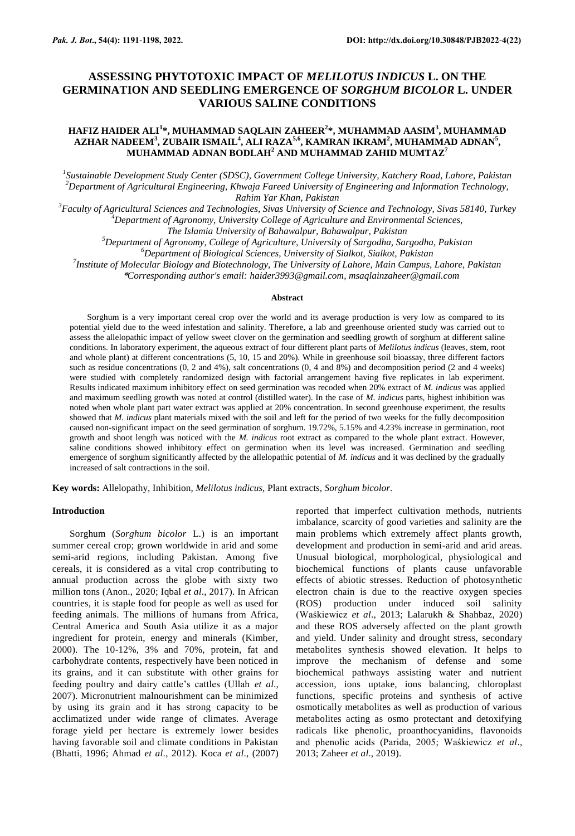# **ASSESSING PHYTOTOXIC IMPACT OF** *MELILOTUS INDICUS* **L. ON THE GERMINATION AND SEEDLING EMERGENCE OF** *SORGHUM BICOLOR* **L. UNDER VARIOUS SALINE CONDITIONS**

# **HAFIZ HAIDER ALI<sup>1</sup> \*, MUHAMMAD SAQLAIN ZAHEER<sup>2</sup> \*, MUHAMMAD AASIM<sup>3</sup> , MUHAMMAD AZHAR NADEEM<sup>3</sup> , ZUBAIR ISMAIL<sup>4</sup> , ALI RAZA5,6 , KAMRAN IKRAM<sup>2</sup> , MUHAMMAD ADNAN<sup>5</sup> , MUHAMMAD ADNAN BODLAH<sup>2</sup> AND MUHAMMAD ZAHID MUMTAZ<sup>7</sup>**

*1 Sustainable Development Study Center (SDSC), Government College University, Katchery Road, Lahore, Pakistan <sup>2</sup>Department of Agricultural Engineering, Khwaja Fareed University of Engineering and Information Technology, Rahim Yar Khan, Pakistan*

*<sup>3</sup>Faculty of Agricultural Sciences and Technologies, Sivas University of Science and Technology, Sivas 58140, Turkey*

*<sup>4</sup>Department of Agronomy, University College of Agriculture and Environmental Sciences,* 

*The Islamia University of Bahawalpur, Bahawalpur, Pakistan*

*<sup>5</sup>Department of Agronomy, College of Agriculture, University of Sargodha, Sargodha, Pakistan*

*<sup>6</sup>Department of Biological Sciences, University of Sialkot, Sialkot, Pakistan*

*7 Institute of Molecular Biology and Biotechnology, The University of Lahore, Main Campus, Lahore, Pakistan* \**Corresponding author's email: [haider3993@gmail.com,](mailto:haider3993@gmail.com) msaqlainzaheer@gmail.com*

#### **Abstract**

Sorghum is a very important cereal crop over the world and its average production is very low as compared to its potential yield due to the weed infestation and salinity. Therefore, a lab and greenhouse oriented study was carried out to assess the allelopathic impact of yellow sweet clover on the germination and seedling growth of sorghum at different saline conditions. In laboratory experiment, the aqueous extract of four different plant parts of *Melilotus indicus* (leaves, stem, root and whole plant) at different concentrations (5, 10, 15 and 20%). While in greenhouse soil bioassay, three different factors such as residue concentrations (0, 2 and 4%), salt concentrations (0, 4 and 8%) and decomposition period (2 and 4 weeks) were studied with completely randomized design with factorial arrangement having five replicates in lab experiment. Results indicated maximum inhibitory effect on seed germination was recoded when 20% extract of *M. indicus* was applied and maximum seedling growth was noted at control (distilled water). In the case of *M. indicus* parts, highest inhibition was noted when whole plant part water extract was applied at 20% concentration. In second greenhouse experiment, the results showed that *M. indicus* plant materials mixed with the soil and left for the period of two weeks for the fully decomposition caused non-significant impact on the seed germination of sorghum. 19.72%, 5.15% and 4.23% increase in germination, root growth and shoot length was noticed with the *M. indicus* root extract as compared to the whole plant extract. However, saline conditions showed inhibitory effect on germination when its level was increased. Germination and seedling emergence of sorghum significantly affected by the allelopathic potential of *M. indicus* and it was declined by the gradually increased of salt contractions in the soil.

**Key words:** Allelopathy, Inhibition, *Melilotus indicus,* Plant extracts, *Sorghum bicolor*.

# **Introduction**

Sorghum (*Sorghum bicolor* L.) is an important summer cereal crop; grown worldwide in arid and some semi-arid regions, including Pakistan. Among five cereals, it is considered as a vital crop contributing to annual production across the globe with sixty two million tons (Anon., 2020; Iqbal *et al*., 2017). In African countries, it is staple food for people as well as used for feeding animals. The millions of humans from Africa, Central America and South Asia utilize it as a major ingredient for protein, energy and minerals (Kimber, 2000). The 10-12%, 3% and 70%, protein, fat and carbohydrate contents, respectively have been noticed in its grains, and it can substitute with other grains for feeding poultry and dairy cattle's cattles (Ullah *et al*., 2007). Micronutrient malnourishment can be minimized by using its grain and it has strong capacity to be acclimatized under wide range of climates. Average forage yield per hectare is extremely lower besides having favorable soil and climate conditions in Pakistan (Bhatti, 1996; Ahmad *et al*., 2012). Koca *et al*., (2007)

reported that imperfect cultivation methods, nutrients imbalance, scarcity of good varieties and salinity are the main problems which extremely affect plants growth, development and production in semi-arid and arid areas. Unusual biological, morphological, physiological and biochemical functions of plants cause unfavorable effects of abiotic stresses. Reduction of photosynthetic electron chain is due to the reactive oxygen species (ROS) production under induced soil salinity (Waśkiewicz *et al*., 2013; Lalarukh & Shahbaz, 2020) and these ROS adversely affected on the plant growth and yield. Under salinity and drought stress, secondary metabolites synthesis showed elevation. It helps to improve the mechanism of defense and some biochemical pathways assisting water and nutrient accession, ions uptake, ions balancing, chloroplast functions, specific proteins and synthesis of active osmotically metabolites as well as production of various metabolites acting as osmo protectant and detoxifying radicals like phenolic, proanthocyanidins, flavonoids and phenolic acids (Parida, 2005; Waśkiewicz *et al*., 2013; Zaheer *et al*., 2019).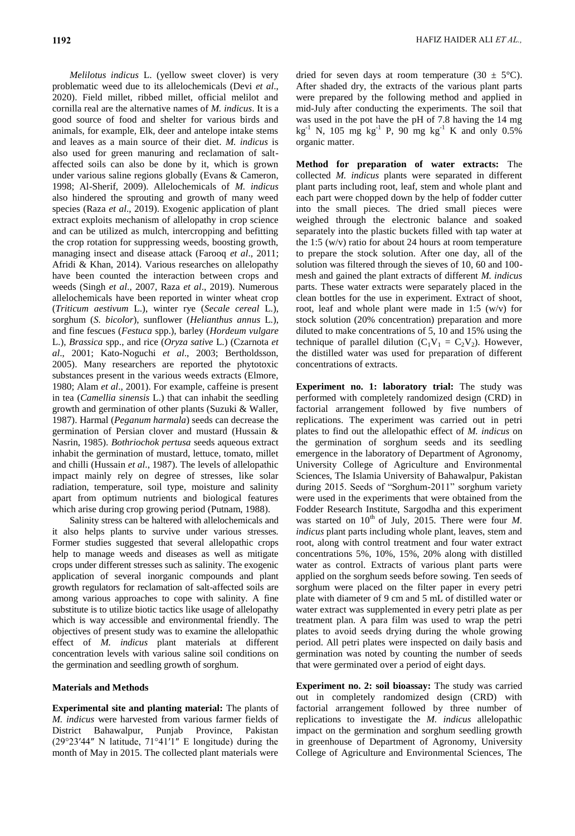*Melilotus indicus* L. (yellow sweet clover) is very problematic weed due to its allelochemicals (Devi *et al*., 2020). Field millet, ribbed millet, official melilot and cornilla real are the alternative names of *M. indicus*. It is a good source of food and shelter for various birds and animals, for example, Elk, deer and antelope intake stems and leaves as a main source of their diet. *M. indicus* is also used for green manuring and reclamation of saltaffected soils can also be done by it, which is grown under various saline regions globally (Evans & Cameron, 1998; Al-Sherif, 2009). Allelochemicals of *M. indicus* also hindered the sprouting and growth of many weed species (Raza *et al*., 2019). Exogenic application of plant extract exploits mechanism of allelopathy in crop science and can be utilized as mulch, intercropping and befitting the crop rotation for suppressing weeds, boosting growth, managing insect and disease attack (Farooq *et al*., 2011; Afridi & Khan, 2014). Various researches on allelopathy have been counted the interaction between crops and weeds (Singh *et al*., 2007, Raza *et al*., 2019). Numerous allelochemicals have been reported in winter wheat crop (*Triticum aestivum* L.), winter rye (*Secale cereal* L.), sorghum (*S. bicolor*), sunflower (*Helianthus annus* L.), and fine fescues (*Festuca* spp.), barley (*Hordeum vulgare* L.), *Brassica* spp., and rice (*Oryza sative* L.) (Czarnota *et al*., 2001; Kato-Noguchi *et al*., 2003; Bertholdsson, 2005). Many researchers are reported the phytotoxic substances present in the various weeds extracts (Elmore, 1980; Alam *et al*., 2001). For example, caffeine is present in tea (*Camellia sinensis* L.) that can inhabit the seedling growth and germination of other plants (Suzuki & Waller, 1987). Harmal (*Peganum harmala*) seeds can decrease the germination of Persian clover and mustard (Hussain & Nasrin, 1985). *Bothriochok pertusa* seeds aqueous extract inhabit the germination of mustard, lettuce, tomato, millet and chilli (Hussain *et al*., 1987). The levels of allelopathic impact mainly rely on degree of stresses, like solar radiation, temperature, soil type, moisture and salinity apart from optimum nutrients and biological features which arise during crop growing period (Putnam, 1988).

Salinity stress can be haltered with allelochemicals and it also helps plants to survive under various stresses. Former studies suggested that several allelopathic crops help to manage weeds and diseases as well as mitigate crops under different stresses such as salinity. The exogenic application of several inorganic compounds and plant growth regulators for reclamation of salt-affected soils are among various approaches to cope with salinity. A fine substitute is to utilize biotic tactics like usage of allelopathy which is way accessible and environmental friendly. The objectives of present study was to examine the allelopathic effect of *M. indicus* plant materials at different concentration levels with various saline soil conditions on the germination and seedling growth of sorghum.

### **Materials and Methods**

**Experimental site and planting material:** The plants of *M. indicus* were harvested from various farmer fields of District Bahawalpur, Punjab Province, Pakistan (29°23′44″ N latitude, 71°41′1″ E longitude) during the month of May in 2015. The collected plant materials were

dried for seven days at room temperature (30  $\pm$  5°C). After shaded dry, the extracts of the various plant parts were prepared by the following method and applied in mid-July after conducting the experiments. The soil that was used in the pot have the pH of 7.8 having the 14 mg  $kg^{-1}$  N, 105 mg kg<sup>-1</sup> P, 90 mg kg<sup>-1</sup> K and only 0.5% organic matter.

**Method for preparation of water extracts:** The collected *M. indicus* plants were separated in different plant parts including root, leaf, stem and whole plant and each part were chopped down by the help of fodder cutter into the small pieces. The dried small pieces were weighed through the electronic balance and soaked separately into the plastic buckets filled with tap water at the 1:5  $(w/v)$  ratio for about 24 hours at room temperature to prepare the stock solution. After one day, all of the solution was filtered through the sieves of 10, 60 and 100 mesh and gained the plant extracts of different *M. indicus* parts. These water extracts were separately placed in the clean bottles for the use in experiment. Extract of shoot, root, leaf and whole plant were made in 1:5 (w/v) for stock solution (20% concentration) preparation and more diluted to make concentrations of 5, 10 and 15% using the technique of parallel dilution  $(C_1V_1 = C_2V_2)$ . However, the distilled water was used for preparation of different concentrations of extracts.

**Experiment no. 1: laboratory trial:** The study was performed with completely randomized design (CRD) in factorial arrangement followed by five numbers of replications. The experiment was carried out in petri plates to find out the allelopathic effect of *M. indicus* on the germination of sorghum seeds and its seedling emergence in the laboratory of Department of Agronomy, University College of Agriculture and Environmental Sciences, The Islamia University of Bahawalpur, Pakistan during 2015. Seeds of "Sorghum-2011" sorghum variety were used in the experiments that were obtained from the Fodder Research Institute, Sargodha and this experiment was started on 10<sup>th</sup> of July, 2015. There were four *M*. *indicus* plant parts including whole plant, leaves, stem and root, along with control treatment and four water extract concentrations 5%, 10%, 15%, 20% along with distilled water as control. Extracts of various plant parts were applied on the sorghum seeds before sowing. Ten seeds of sorghum were placed on the filter paper in every petri plate with diameter of 9 cm and 5 mL of distilled water or water extract was supplemented in every petri plate as per treatment plan. A para film was used to wrap the petri plates to avoid seeds drying during the whole growing period. All petri plates were inspected on daily basis and germination was noted by counting the number of seeds that were germinated over a period of eight days.

**Experiment no. 2: soil bioassay:** The study was carried out in completely randomized design (CRD) with factorial arrangement followed by three number of replications to investigate the *M. indicus* allelopathic impact on the germination and sorghum seedling growth in greenhouse of Department of Agronomy, University College of Agriculture and Environmental Sciences, The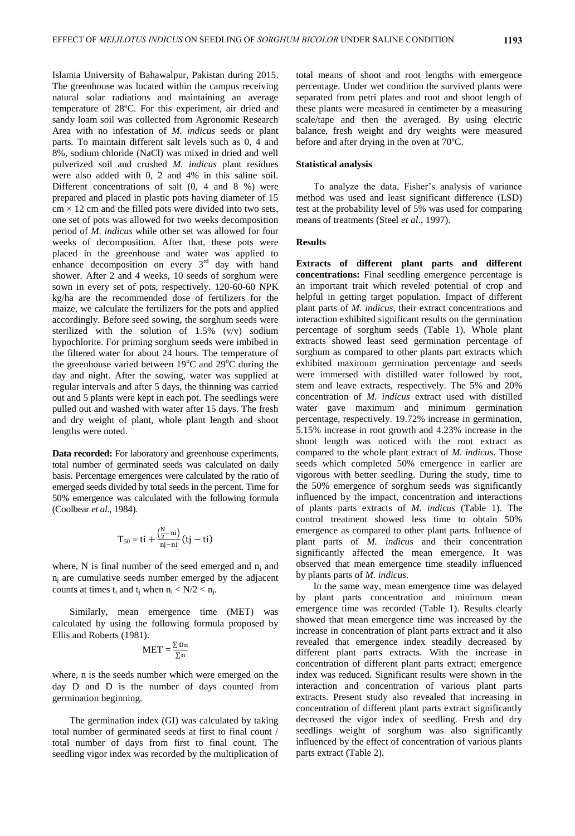Islamia University of Bahawalpur, Pakistan during 2015. The greenhouse was located within the campus receiving natural solar radiations and maintaining an average temperature of 28ºC. For this experiment, air dried and sandy loam soil was collected from Agronomic Research Area with no infestation of *M. indicus* seeds or plant parts. To maintain different salt levels such as 0, 4 and 8%, sodium chloride (NaCl) was mixed in dried and well pulverized soil and crushed *M. indicus* plant residues were also added with 0, 2 and 4% in this saline soil. Different concentrations of salt (0, 4 and 8 %) were prepared and placed in plastic pots having diameter of 15  $cm \times 12$  cm and the filled pots were divided into two sets, one set of pots was allowed for two weeks decomposition period of *M. indicus* while other set was allowed for four weeks of decomposition. After that, these pots were placed in the greenhouse and water was applied to enhance decomposition on every  $3<sup>rd</sup>$  day with hand shower. After 2 and 4 weeks, 10 seeds of sorghum were sown in every set of pots, respectively. 120-60-60 NPK kg/ha are the recommended dose of fertilizers for the maize, we calculate the fertilizers for the pots and applied accordingly. Before seed sowing, the sorghum seeds were sterilized with the solution of 1.5% (v/v) sodium hypochlorite. For priming sorghum seeds were imbibed in the filtered water for about 24 hours. The temperature of the greenhouse varied between  $19^{\circ}$ C and  $29^{\circ}$ C during the day and night. After the sowing, water was supplied at regular intervals and after 5 days, the thinning was carried out and 5 plants were kept in each pot. The seedlings were pulled out and washed with water after 15 days. The fresh and dry weight of plant, whole plant length and shoot lengths were noted.

**Data recorded:** For laboratory and greenhouse experiments, total number of germinated seeds was calculated on daily basis. Percentage emergences were calculated by the ratio of emerged seeds divided by total seeds in the percent. Time for 50% emergence was calculated with the following formula (Coolbear *et al*., 1984).

$$
T_{50}\,{=}\,ti+\frac{\left(\frac{N}{2}{-}ni\right)}{nj-ni}(tj-ti)
$$

where, N is final number of the seed emerged and  $n_i$  and  $n_i$  are cumulative seeds number emerged by the adjacent counts at times  $t_i$  and  $t_j$  when  $n_i < N/2 < n_j$ .

Similarly, mean emergence time (MET) was calculated by using the following formula proposed by Ellis and Roberts (1981).

$$
MET = \frac{\sum Dn}{\sum n}
$$

where, n is the seeds number which were emerged on the day D and D is the number of days counted from germination beginning.

The germination index (GI) was calculated by taking total number of germinated seeds at first to final count / total number of days from first to final count. The seedling vigor index was recorded by the multiplication of

total means of shoot and root lengths with emergence percentage. Under wet condition the survived plants were separated from petri plates and root and shoot length of these plants were measured in centimeter by a measuring scale/tape and then the averaged. By using electric balance, fresh weight and dry weights were measured before and after drying in the oven at 70ºC.

# **Statistical analysis**

To analyze the data, Fisher's analysis of variance method was used and least significant difference (LSD) test at the probability level of 5% was used for comparing means of treatments (Steel *et al*., 1997).

### **Results**

**Extracts of different plant parts and different concentrations:** Final seedling emergence percentage is an important trait which reveled potential of crop and helpful in getting target population. Impact of different plant parts of *M. indicus*, their extract concentrations and interaction exhibited significant results on the germination percentage of sorghum seeds (Table 1). Whole plant extracts showed least seed germination percentage of sorghum as compared to other plants part extracts which exhibited maximum germination percentage and seeds were immersed with distilled water followed by root, stem and leave extracts, respectively. The 5% and 20% concentration of *M. indicus* extract used with distilled water gave maximum and minimum germination percentage, respectively. 19.72% increase in germination, 5.15% increase in root growth and 4.23% increase in the shoot length was noticed with the root extract as compared to the whole plant extract of *M. indicus*. Those seeds which completed 50% emergence in earlier are vigorous with better seedling. During the study, time to the 50% emergence of sorghum seeds was significantly influenced by the impact, concentration and interactions of plants parts extracts of *M. indicus* (Table 1). The control treatment showed less time to obtain 50% emergence as compared to other plant parts. Influence of plant parts of *M. indicus* and their concentration significantly affected the mean emergence. It was observed that mean emergence time steadily influenced by plants parts of *M. indicus*.

In the same way, mean emergence time was delayed by plant parts concentration and minimum mean emergence time was recorded (Table 1). Results clearly showed that mean emergence time was increased by the increase in concentration of plant parts extract and it also revealed that emergence index steadily decreased by different plant parts extracts. With the increase in concentration of different plant parts extract; emergence index was reduced. Significant results were shown in the interaction and concentration of various plant parts extracts. Present study also revealed that increasing in concentration of different plant parts extract significantly decreased the vigor index of seedling. Fresh and dry seedlings weight of sorghum was also significantly influenced by the effect of concentration of various plants parts extract (Table 2).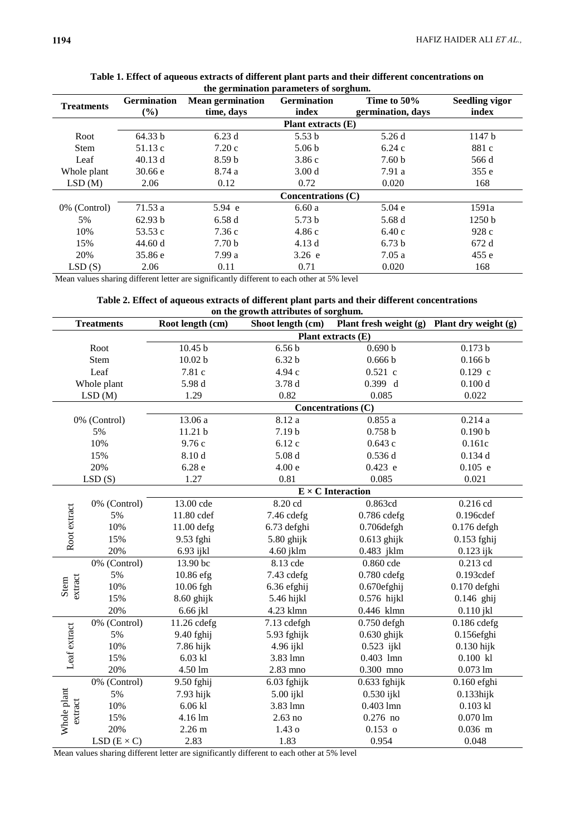| the germination parameters of sorgnum. |                              |                                       |                             |                                  |                                |  |  |
|----------------------------------------|------------------------------|---------------------------------------|-----------------------------|----------------------------------|--------------------------------|--|--|
| <b>Treatments</b>                      | <b>Germination</b><br>$(\%)$ | <b>Mean germination</b><br>time, days | <b>Germination</b><br>index | Time to 50%<br>germination, days | <b>Seedling vigor</b><br>index |  |  |
|                                        |                              | <b>Plant extracts (E)</b>             |                             |                                  |                                |  |  |
| Root                                   | 64.33 b                      | 6.23d                                 | 5.53 <sub>b</sub>           | 5.26d                            | 1147 <sub>b</sub>              |  |  |
| <b>Stem</b>                            | 51.13c                       | 7.20c                                 | 5.06 <sub>b</sub>           | 6.24c                            | 881 c                          |  |  |
| Leaf                                   | 40.13 d                      | 8.59 <sub>b</sub>                     | 3.86c                       | 7.60 <sub>b</sub>                | 566 d                          |  |  |
| Whole plant                            | 30.66 e                      | 8.74a                                 | 3.00 <sub>d</sub>           | 7.91a                            | 355e                           |  |  |
| LSD(M)                                 | 2.06                         | 0.12                                  | 0.72                        | 0.020                            | 168                            |  |  |
|                                        | Concentrations $(C)$         |                                       |                             |                                  |                                |  |  |
| 0% (Control)                           | 71.53 a                      | 5.94 e                                | 6.60a                       | 5.04e                            | 1591a                          |  |  |
| 5%                                     | 62.93 b                      | 6.58d                                 | 5.73 <sub>b</sub>           | 5.68 d                           | 1250 b                         |  |  |
| 10%                                    | 53.53 c                      | 7.36c                                 | 4.86c                       | 6.40c                            | 928c                           |  |  |
| 15%                                    | 44.60 d                      | 7.70 <sub>b</sub>                     | 4.13d                       | 6.73 <sub>b</sub>                | 672 d                          |  |  |
| 20%                                    | 35.86 e                      | 7.99a                                 | 3.26 e                      | 7.05a                            | 455e                           |  |  |
| LSD(S)                                 | 2.06                         | 0.11                                  | 0.71                        | 0.020                            | 168                            |  |  |

#### **Table 1. Effect of aqueous extracts of different plant parts and their different concentrations on the germination parameters of sorghum.**

Mean values sharing different letter are significantly different to each other at 5% level

# **Table 2. Effect of aqueous extracts of different plant parts and their different concentrations on the growth attributes of sorghum.**

| <b>Treatments</b>      |                   | Root length (cm)         | Shoot length (cm) | Plant fresh weight (g) Plant dry weight (g) |                    |  |  |
|------------------------|-------------------|--------------------------|-------------------|---------------------------------------------|--------------------|--|--|
|                        |                   | Plant extracts (E)       |                   |                                             |                    |  |  |
| Root                   |                   | 10.45 <sub>b</sub>       | 6.56 <sub>b</sub> | 0.690 b                                     | 0.173 b            |  |  |
| Stem                   |                   | 10.02 <sub>b</sub>       | 6.32 <sub>b</sub> | 0.666 b                                     | 0.166 b            |  |  |
|                        | Leaf              | 7.81 c                   | 4.94 с            | $0.521$ c                                   | $0.129$ c          |  |  |
|                        | Whole plant       | 5.98 d                   | 3.78 d            | 0.399 d                                     | 0.100 d            |  |  |
|                        | LSD(M)            | 1.29                     | 0.82              | 0.085                                       | 0.022              |  |  |
|                        |                   | Concentrations (C)       |                   |                                             |                    |  |  |
|                        | 0% (Control)      | 13.06 a                  | 8.12a             | 0.855a                                      | 0.214a             |  |  |
|                        | 5%                | 11.21 b                  | 7.19b             | 0.758 b                                     | 0.190 b            |  |  |
|                        | 10%               | 9.76 с                   | 6.12c             | 0.643c                                      | 0.161c             |  |  |
|                        | 15%               | 8.10d                    | 5.08d             | 0.536d                                      | 0.134d             |  |  |
|                        | 20%               | 6.28e                    | 4.00 e            | $0.423$ e                                   | $0.105$ e          |  |  |
|                        | LSD(S)            | 1.27                     | 0.81              | 0.085                                       | 0.021              |  |  |
|                        |                   | $E \times C$ Interaction |                   |                                             |                    |  |  |
|                        | 0% (Control)      | 13.00 cde                | 8.20 cd           | 0.863cd                                     | 0.216 cd           |  |  |
| Root extract           | 5%                | 11.80 cdef               | 7.46 cdefg        | $0.786$ cdefg                               | 0.196cdef          |  |  |
|                        | 10%               | 11.00 defg               | 6.73 defghi       | 0.706defgh                                  | $0.176$ defgh      |  |  |
|                        | 15%               | 9.53 fghi                | 5.80 ghijk        | $0.613$ ghijk                               | 0.153 fghij        |  |  |
|                        | 20%               | 6.93 ijkl                | 4.60 jklm         | 0.483 jklm                                  | $0.123$ ijk        |  |  |
|                        | 0% (Control)      | 13.90 bc                 | 8.13 cde          | 0.860 cde                                   | 0.213 cd           |  |  |
|                        | 5%                | 10.86 efg                | 7.43 cdefg        | $0.780$ cdefg                               | 0.193cdef          |  |  |
| extract<br>Stem        | 10%               | 10.06 fgh                | 6.36 efghij       | 0.670efghij                                 | 0.170 defghi       |  |  |
|                        | 15%               | $8.60$ ghijk             | 5.46 hijkl        | $0.576$ hijkl                               | $0.146$ ghij       |  |  |
|                        | 20%               | 6.66 jkl                 | 4.23 klmn         | 0.446 klmn                                  | $0.110$ jkl        |  |  |
|                        | 0% (Control)      | 11.26 cdefg              | 7.13 cdefgh       | $0.750$ defgh                               | $0.186$ cdefg      |  |  |
| Leaf extract           | 5%                | 9.40 fghij               | 5.93 fghijk       | $0.630$ ghijk                               | $0.156$ efghi      |  |  |
|                        | 10%               | 7.86 hijk                | 4.96 ijkl         | $0.523$ ijkl                                | $0.130$ hijk       |  |  |
|                        | 15%               | $6.03$ kl                | 3.83 lmn          | $0.403$ lmn                                 | $0.100$ kl         |  |  |
|                        | 20%               | 4.50 lm                  | 2.83 mno          | $0.300$ mno                                 | $0.073 \text{ lm}$ |  |  |
|                        | 0% (Control)      | 9.50 fghij               | 6.03 fghijk       | $0.633$ fghijk                              | $0.160$ efghi      |  |  |
| Whole plant<br>extract | 5%                | 7.93 hijk                | 5.00 ijkl         | 0.530 ijkl                                  | $0.133$ hijk       |  |  |
|                        | 10%               | $6.06$ kl                | 3.83 lmn          | $0.403$ lmn                                 | $0.103$ kl         |  |  |
|                        | 15%               | 4.16 lm                  | $2.63$ no         | $0.276$ no                                  | $0.070$ lm         |  |  |
|                        | 20%               | 2.26 <sub>m</sub>        | 1.43 <sub>o</sub> | $0.153$ o                                   | $0.036$ m          |  |  |
|                        | $LSD(E \times C)$ | 2.83                     | 1.83              | 0.954                                       | 0.048              |  |  |

Mean values sharing different letter are significantly different to each other at 5% level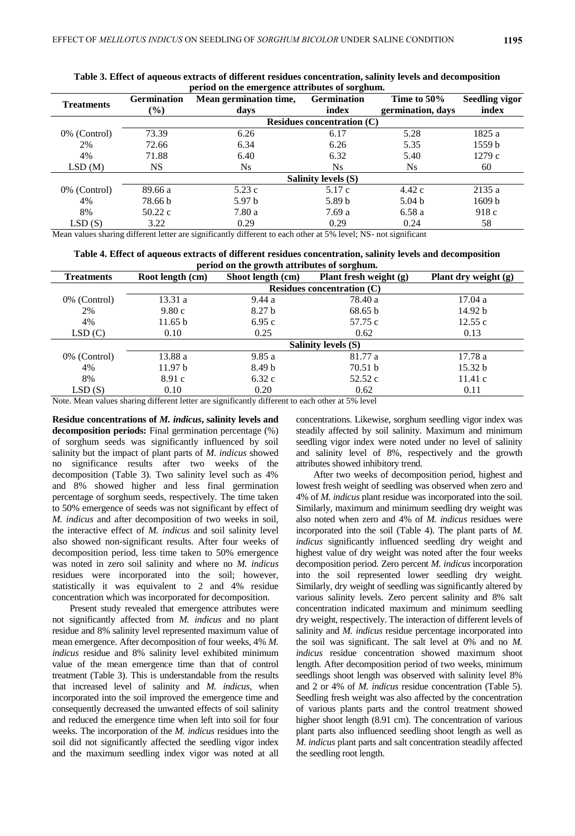| period on the emergence attributes or sorgnum. |                              |                        |                     |                   |                       |  |
|------------------------------------------------|------------------------------|------------------------|---------------------|-------------------|-----------------------|--|
| <b>Treatments</b>                              | <b>Germination</b>           | Mean germination time, | <b>Germination</b>  | Time to 50%       | <b>Seedling vigor</b> |  |
|                                                | $(\%)$                       | days                   | index               | germination, days | index                 |  |
|                                                | Residues concentration $(C)$ |                        |                     |                   |                       |  |
| 0% (Control)                                   | 73.39                        | 6.26                   | 6.17                | 5.28              | 1825 a                |  |
| 2%                                             | 72.66                        | 6.34                   | 6.26                | 5.35              | 1559 <sub>b</sub>     |  |
| 4%                                             | 71.88                        | 6.40                   | 6.32                | 5.40              | 1279c                 |  |
| LSD(M)                                         | <b>NS</b>                    | Ns.                    | N <sub>s</sub>      | Ns.               | 60                    |  |
|                                                |                              |                        | Salinity levels (S) |                   |                       |  |
| 0% (Control)                                   | 89.66 a                      | 5.23c                  | 5.17c               | 4.42c             | 2135a                 |  |
| 4%                                             | 78.66 b                      | 5.97 <sub>b</sub>      | 5.89 <sub>b</sub>   | 5.04 <sub>b</sub> | 1609 b                |  |
| 8%                                             | 50.22c                       | 7.80a                  | 7.69 a              | 6.58a             | 918c                  |  |
| LSD(S)                                         | 3.22                         | 0.29                   | 0.29                | 0.24              | 58                    |  |

**Table 3. Effect of aqueous extracts of different residues concentration, salinity levels and decomposition period on the emergence attributes of sorghum.**

Mean values sharing different letter are significantly different to each other at 5% level; NS- not significant

**Table 4. Effect of aqueous extracts of different residues concentration, salinity levels and decomposition period on the growth attributes of sorghum.**

| <b>Treatments</b> | Root length (cm)             | -<br>-<br>Plant fresh weight (g)<br>Shoot length (cm) |                            | Plant dry weight (g) |  |  |  |  |
|-------------------|------------------------------|-------------------------------------------------------|----------------------------|----------------------|--|--|--|--|
|                   | Residues concentration $(C)$ |                                                       |                            |                      |  |  |  |  |
| 0% (Control)      | 13.31 a                      | 9.44a                                                 | 78.40 a                    | 17.04 a              |  |  |  |  |
| 2%                | 9.80c                        | 8.27 <sub>b</sub>                                     | 68.65 b                    | 14.92 b              |  |  |  |  |
| 4%                | 11.65 b                      | 6.95c                                                 | 57.75 c                    | 12.55c               |  |  |  |  |
| LSD(C)            | 0.10                         | 0.25                                                  | 0.62                       | 0.13                 |  |  |  |  |
|                   |                              |                                                       | <b>Salinity levels (S)</b> |                      |  |  |  |  |
| 0% (Control)      | 13.88 a                      | 9.85a                                                 | 81.77 a                    | 17.78 a              |  |  |  |  |
| 4%                | 11.97 <sub>b</sub>           | 8.49 <sub>b</sub>                                     | 70.51 b                    | 15.32 b              |  |  |  |  |
| 8%                | 8.91c                        | 6.32c                                                 | 52.52c                     | 11.41c               |  |  |  |  |
| LSD(S)            | 0.10                         | 0.20                                                  | 0.62                       | 0.11                 |  |  |  |  |

Note. Mean values sharing different letter are significantly different to each other at 5% level

**Residue concentrations of** *M. indicus***, salinity levels and decomposition periods:** Final germination percentage (%) of sorghum seeds was significantly influenced by soil salinity but the impact of plant parts of *M. indicus* showed no significance results after two weeks of the decomposition (Table 3). Two salinity level such as 4% and 8% showed higher and less final germination percentage of sorghum seeds, respectively. The time taken to 50% emergence of seeds was not significant by effect of *M. indicus* and after decomposition of two weeks in soil, the interactive effect of *M. indicus* and soil salinity level also showed non-significant results. After four weeks of decomposition period, less time taken to 50% emergence was noted in zero soil salinity and where no *M. indicus* residues were incorporated into the soil; however, statistically it was equivalent to 2 and 4% residue concentration which was incorporated for decomposition.

Present study revealed that emergence attributes were not significantly affected from *M. indicus* and no plant residue and 8% salinity level represented maximum value of mean emergence. After decomposition of four weeks, 4% *M. indicus* residue and 8% salinity level exhibited minimum value of the mean emergence time than that of control treatment (Table 3). This is understandable from the results that increased level of salinity and *M. indicus*, when incorporated into the soil improved the emergence time and consequently decreased the unwanted effects of soil salinity and reduced the emergence time when left into soil for four weeks. The incorporation of the *M. indicus* residues into the soil did not significantly affected the seedling vigor index and the maximum seedling index vigor was noted at all concentrations. Likewise, sorghum seedling vigor index was steadily affected by soil salinity. Maximum and minimum seedling vigor index were noted under no level of salinity and salinity level of 8%, respectively and the growth attributes showed inhibitory trend.

After two weeks of decomposition period, highest and lowest fresh weight of seedling was observed when zero and 4% of *M. indicus* plant residue was incorporated into the soil. Similarly, maximum and minimum seedling dry weight was also noted when zero and 4% of *M. indicus* residues were incorporated into the soil (Table 4). The plant parts of *M. indicus* significantly influenced seedling dry weight and highest value of dry weight was noted after the four weeks decomposition period. Zero percent *M. indicus* incorporation into the soil represented lower seedling dry weight. Similarly, dry weight of seedling was significantly altered by various salinity levels. Zero percent salinity and 8% salt concentration indicated maximum and minimum seedling dry weight, respectively. The interaction of different levels of salinity and *M. indicus* residue percentage incorporated into the soil was significant. The salt level at 0% and no *M. indicus* residue concentration showed maximum shoot length. After decomposition period of two weeks, minimum seedlings shoot length was observed with salinity level 8% and 2 or 4% of *M. indicus* residue concentration (Table 5). Seedling fresh weight was also affected by the concentration of various plants parts and the control treatment showed higher shoot length (8.91 cm). The concentration of various plant parts also influenced seedling shoot length as well as *M. indicus* plant parts and salt concentration steadily affected the seedling root length.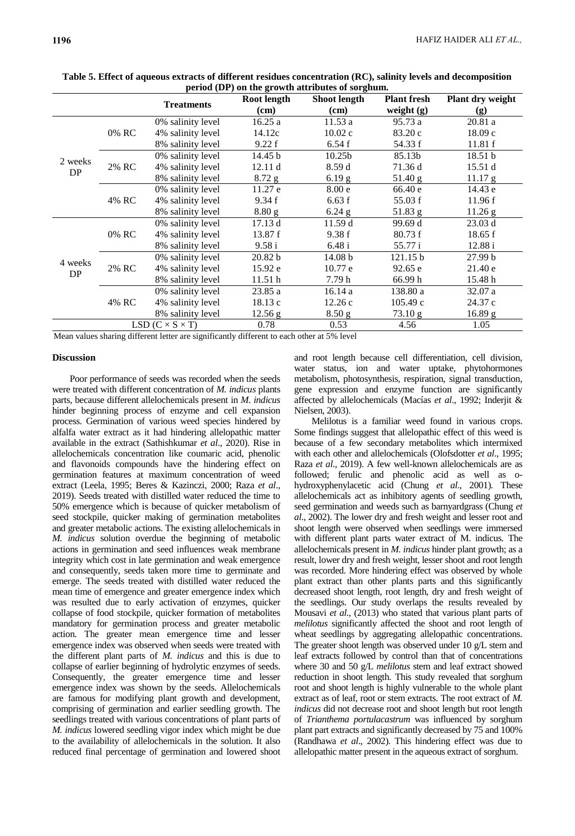|                             |       |                   | Root length | $\mu$ . For $\mu$ and $\mu$ and $\mu$ are $\mu$ and $\mu$ and $\mu$ and $\mu$<br>Shoot length | <b>Plant fresh</b> | Plant dry weight |
|-----------------------------|-------|-------------------|-------------|-----------------------------------------------------------------------------------------------|--------------------|------------------|
|                             |       | <b>Treatments</b> | (cm)        | (cm)                                                                                          | weight $(g)$       | (g)              |
|                             |       | 0% salinity level | 16.25a      | 11.53 a                                                                                       | 95.73 a            | 20.81a           |
|                             | 0% RC | 4% salinity level | 14.12c      | 10.02 c                                                                                       | 83.20 c            | 18.09c           |
|                             |       | 8% salinity level | 9.22 f      | 6.54f                                                                                         | 54.33 f            | 11.81 f          |
| 2 weeks                     |       | 0% salinity level | 14.45 b     | 10.25 <sub>b</sub>                                                                            | 85.13b             | 18.51 b          |
| DP                          | 2% RC | 4% salinity level | 12.11 d     | 8.59d                                                                                         | 71.36 d            | 15.51 d          |
|                             |       | 8% salinity level | $8.72$ g    | 6.19 <sub>g</sub>                                                                             | 51.40 g            | 11.17 g          |
|                             |       | 0% salinity level | 11.27 e     | 8.00 e                                                                                        | 66.40 e            | 14.43 e          |
|                             | 4% RC | 4% salinity level | 9.34 f      | 6.63 f                                                                                        | 55.03 f            | 11.96 f          |
|                             |       | 8% salinity level | 8.80 g      | $6.24$ g                                                                                      | 51.83 g            | $11.26$ g        |
|                             | 0% RC | 0% salinity level | 17.13d      | 11.59d                                                                                        | 99.69 d            | 23.03 d          |
|                             |       | 4% salinity level | 13.87 f     | 9.38 f                                                                                        | 80.73 f            | 18.65 f          |
|                             |       | 8% salinity level | 9.58 i      | 6.48 i                                                                                        | 55.77 i            | 12.88 i          |
|                             | 2% RC | 0% salinity level | 20.82 b     | 14.08 <sub>b</sub>                                                                            | 121.15 b           | 27.99 b          |
| 4 weeks<br>DP               |       | 4% salinity level | 15.92 e     | 10.77 e                                                                                       | 92.65 e            | 21.40 e          |
|                             |       | 8% salinity level | 11.51h      | 7.79 h                                                                                        | 66.99 h            | 15.48h           |
|                             | 4% RC | 0% salinity level | 23.85a      | 16.14 a                                                                                       | 138.80 a           | 32.07 a          |
|                             |       | 4% salinity level | 18.13 c     | 12.26c                                                                                        | 105.49c            | 24.37 c          |
|                             |       | 8% salinity level | 12.56 g     | 8.50 <sub>g</sub>                                                                             | 73.10 g            | 16.89 g          |
| LSD $(C \times S \times T)$ |       |                   | 0.78        | 0.53                                                                                          | 4.56               | 1.05             |

**Table 5. Effect of aqueous extracts of different residues concentration (RC), salinity levels and decomposition period (DP) on the growth attributes of sorghum.**

Mean values sharing different letter are significantly different to each other at 5% level

### **Discussion**

Poor performance of seeds was recorded when the seeds were treated with different concentration of *M. indicus* plants parts, because different allelochemicals present in *M. indicus* hinder beginning process of enzyme and cell expansion process. Germination of various weed species hindered by alfalfa water extract as it had hindering allelopathic matter available in the extract (Sathishkumar *et al*., 2020). Rise in allelochemicals concentration like coumaric acid, phenolic and flavonoids compounds have the hindering effect on germination features at maximum concentration of weed extract (Leela, 1995; Beres & Kazinczi, 2000; Raza *et al*., 2019). Seeds treated with distilled water reduced the time to 50% emergence which is because of quicker metabolism of seed stockpile, quicker making of germination metabolites and greater metabolic actions. The existing allelochemicals in *M. indicus* solution overdue the beginning of metabolic actions in germination and seed influences weak membrane integrity which cost in late germination and weak emergence and consequently, seeds taken more time to germinate and emerge. The seeds treated with distilled water reduced the mean time of emergence and greater emergence index which was resulted due to early activation of enzymes, quicker collapse of food stockpile, quicker formation of metabolites mandatory for germination process and greater metabolic action. The greater mean emergence time and lesser emergence index was observed when seeds were treated with the different plant parts of *M. indicus* and this is due to collapse of earlier beginning of hydrolytic enzymes of seeds. Consequently, the greater emergence time and lesser emergence index was shown by the seeds. Allelochemicals are famous for modifying plant growth and development, comprising of germination and earlier seedling growth. The seedlings treated with various concentrations of plant parts of *M. indicus* lowered seedling vigor index which might be due to the availability of allelochemicals in the solution. It also reduced final percentage of germination and lowered shoot and root length because cell differentiation, cell division, water status, ion and water uptake, phytohormones metabolism, photosynthesis, respiration, signal transduction, gene expression and enzyme function are significantly affected by allelochemicals (Macías *et al*., 1992; Inderjit & Nielsen, 2003).

Melilotus is a familiar weed found in various crops. Some findings suggest that allelopathic effect of this weed is because of a few secondary metabolites which intermixed with each other and allelochemicals (Olofsdotter *et al*., 1995; Raza *et al*., 2019). A few well-known allelochemicals are as followed; ferulic and phenolic acid as well as ohydroxyphenylacetic acid (Chung *et al*., 2001). These allelochemicals act as inhibitory agents of seedling growth, seed germination and weeds such as barnyardgrass (Chung *et al*., 2002). The lower dry and fresh weight and lesser root and shoot length were observed when seedlings were immersed with different plant parts water extract of M. indicus. The allelochemicals present in *M. indicus* hinder plant growth; as a result, lower dry and fresh weight, lesser shoot and root length was recorded. More hindering effect was observed by whole plant extract than other plants parts and this significantly decreased shoot length, root length, dry and fresh weight of the seedlings. Our study overlaps the results revealed by Mousavi *et al*., (2013) who stated that various plant parts of *melilotus* significantly affected the shoot and root length of wheat seedlings by aggregating allelopathic concentrations. The greater shoot length was observed under 10 g/L stem and leaf extracts followed by control than that of concentrations where 30 and 50 g/L *melilotus* stem and leaf extract showed reduction in shoot length. This study revealed that sorghum root and shoot length is highly vulnerable to the whole plant extract as of leaf, root or stem extracts. The root extract of *M. indicus* did not decrease root and shoot length but root length of *Trianthema portulacastrum* was influenced by sorghum plant part extracts and significantly decreased by 75 and 100% (Randhawa *et al*., 2002). This hindering effect was due to allelopathic matter present in the aqueous extract of sorghum.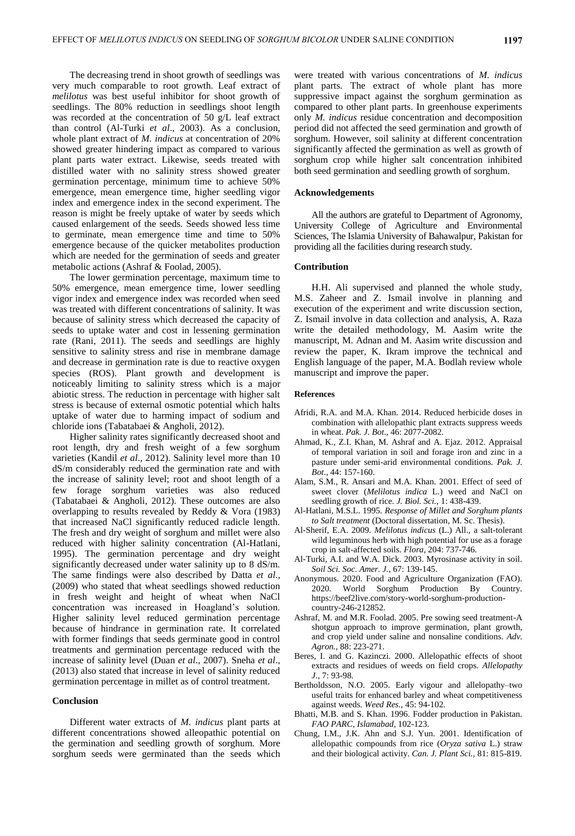The decreasing trend in shoot growth of seedlings was very much comparable to root growth. Leaf extract of *melilotus* was best useful inhibitor for shoot growth of seedlings. The 80% reduction in seedlings shoot length was recorded at the concentration of 50 g/L leaf extract than control (Al-Turki *et al*., 2003). As a conclusion, whole plant extract of *M. indicus* at concentration of 20% showed greater hindering impact as compared to various plant parts water extract. Likewise, seeds treated with distilled water with no salinity stress showed greater germination percentage, minimum time to achieve 50% emergence, mean emergence time, higher seedling vigor index and emergence index in the second experiment. The reason is might be freely uptake of water by seeds which caused enlargement of the seeds. Seeds showed less time to germinate, mean emergence time and time to 50% emergence because of the quicker metabolites production which are needed for the germination of seeds and greater metabolic actions (Ashraf & Foolad, 2005).

The lower germination percentage, maximum time to 50% emergence, mean emergence time, lower seedling vigor index and emergence index was recorded when seed was treated with different concentrations of salinity. It was because of salinity stress which decreased the capacity of seeds to uptake water and cost in lessening germination rate (Rani, 2011). The seeds and seedlings are highly sensitive to salinity stress and rise in membrane damage and decrease in germination rate is due to reactive oxygen species (ROS). Plant growth and development is noticeably limiting to salinity stress which is a major abiotic stress. The reduction in percentage with higher salt stress is because of external osmotic potential which halts uptake of water due to harming impact of sodium and chloride ions (Tabatabaei & Angholi, 2012).

Higher salinity rates significantly decreased shoot and root length, dry and fresh weight of a few sorghum varieties (Kandil *et al*., 2012). Salinity level more than 10 dS/m considerably reduced the germination rate and with the increase of salinity level; root and shoot length of a few forage sorghum varieties was also reduced (Tabatabaei & Angholi, 2012). These outcomes are also overlapping to results revealed by Reddy & Vora (1983) that increased NaCl significantly reduced radicle length. The fresh and dry weight of sorghum and millet were also reduced with higher salinity concentration (Al-Hatlani, 1995). The germination percentage and dry weight significantly decreased under water salinity up to 8 dS/m. The same findings were also described by Datta *et al*., (2009) who stated that wheat seedlings showed reduction in fresh weight and height of wheat when NaCl concentration was increased in Hoagland's solution. Higher salinity level reduced germination percentage because of hindrance in germination rate. It correlated with former findings that seeds germinate good in control treatments and germination percentage reduced with the increase of salinity level (Duan *et al*., 2007). Sneha *et al*., (2013) also stated that increase in level of salinity reduced germination percentage in millet as of control treatment.

### **Conclusion**

Different water extracts of *M. indicus* plant parts at different concentrations showed alleopathic potential on the germination and seedling growth of sorghum. More sorghum seeds were germinated than the seeds which

were treated with various concentrations of *M. indicus* plant parts. The extract of whole plant has more suppressive impact against the sorghum germination as compared to other plant parts. In greenhouse experiments only *M. indicus* residue concentration and decomposition period did not affected the seed germination and growth of sorghum. However, soil salinity at different concentration significantly affected the germination as well as growth of sorghum crop while higher salt concentration inhibited both seed germination and seedling growth of sorghum.

#### **Acknowledgements**

All the authors are grateful to Department of Agronomy, University College of Agriculture and Environmental Sciences, The Islamia University of Bahawalpur, Pakistan for providing all the facilities during research study.

#### **Contribution**

H.H. Ali supervised and planned the whole study, M.S. Zaheer and Z. Ismail involve in planning and execution of the experiment and write discussion section, Z. Ismail involve in data collection and analysis, A. Raza write the detailed methodology, M. Aasim write the manuscript, M. Adnan and M. Aasim write discussion and review the paper, K. Ikram improve the technical and English language of the paper, M.A. Bodlah review whole manuscript and improve the paper.

#### **References**

- Afridi, R.A. and M.A. Khan. 2014. Reduced herbicide doses in combination with allelopathic plant extracts suppress weeds in wheat. *Pak. J. Bot*., 46: 2077-2082.
- Ahmad, K., Z.I. Khan, M. Ashraf and A. Ejaz. 2012. Appraisal of temporal variation in soil and forage iron and zinc in a pasture under semi-arid environmental conditions. *Pak. J. Bot*., 44: 157-160.
- Alam, S.M., R. Ansari and M.A. Khan. 2001. Effect of seed of sweet clover (*Melilotus indica* L.) weed and NaCl on seedling growth of rice. *J. Biol. Sci.,* 1: 438-439.
- Al-Hatlani, M.S.L. 1995. *Response of Millet and Sorghum plants to Salt treatment* (Doctoral dissertation, M. Sc. Thesis).
- Al-Sherif, E.A. 2009. *Melilotus indicus* (L.) All., a salt-tolerant wild leguminous herb with high potential for use as a forage crop in salt-affected soils. *Flora*, 204: 737-746.
- Al-Turki, A.I. and W.A. Dick. 2003. Myrosinase activity in soil. *Soil Sci. Soc. Amer. J.*, 67: 139-145.
- Anonymous. 2020. Food and Agriculture Organization (FAO). 2020. World Sorghum Production By Country. https://beef2live.com/story-world-sorghum-productioncountry-246-212852.
- Ashraf, M. and M.R. Foolad. 2005. Pre sowing seed treatment-A shotgun approach to improve germination, plant growth, and crop yield under saline and nonsaline conditions. *Adv. Agron.,* 88: 223-271.
- Beres, I. and G. Kazinczi. 2000. Allelopathic effects of shoot extracts and residues of weeds on field crops. *Allelopathy J*., 7: 93-98.
- Bertholdsson, N.O. 2005. Early vigour and allelopathy–two useful traits for enhanced barley and wheat competitiveness against weeds. *Weed Res.,* 45: 94-102.
- Bhatti, M.B. and S. Khan. 1996. Fodder production in Pakistan. *FAO PARC, Islamabad*, 102-123.
- Chung, I.M., J.K. Ahn and S.J. Yun. 2001. Identification of allelopathic compounds from rice (*Oryza sativa* L.) straw and their biological activity. *Can. J. Plant Sci.,* 81: 815-819.